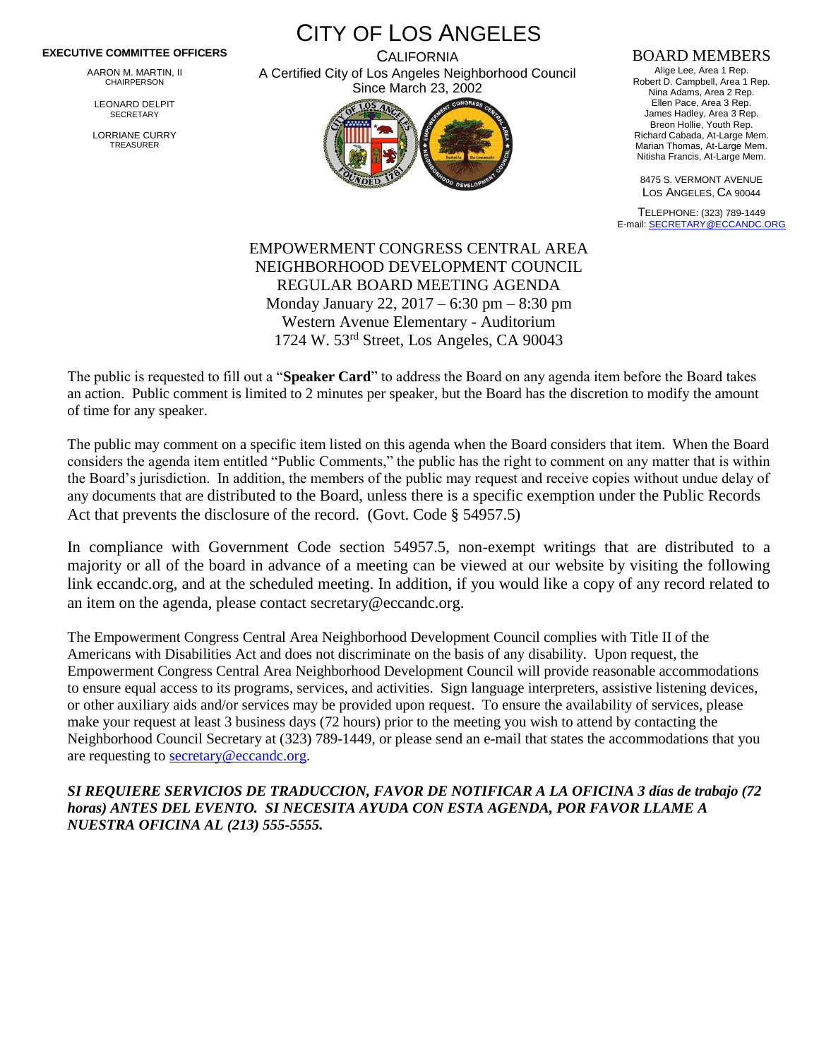## **EXECUTIVE COMMITTEE OFFICERS**

AARON M. MARTIN, II CHAIRPERSON

LEONARD DELPIT **SECRETARY** 

LORRIANE CURRY TREASURER

CITY OF LOS ANGELES

**CALIFORNIA** A Certified City of Los Angeles Neighborhood Council Since March 23, 2002



## BOARD MEMBERS

Alige Lee, Area 1 Rep. Robert D. Campbell, Area 1 Rep. Nina Adams, Area 2 Rep. Ellen Pace, Area 3 Rep. James Hadley, Area 3 Rep. Breon Hollie, Youth Rep. Richard Cabada, At-Large Mem. Marian Thomas, At-Large Mem. Nitisha Francis, At-Large Mem.

8475 S. VERMONT AVENUE LOS ANGELES, CA 90044

TELEPHONE: (323) 789-1449 E-mail[: SECRETARY@ECCANDC.ORG](mailto:SECRETARY@ECCANDC.ORG)

EMPOWERMENT CONGRESS CENTRAL AREA NEIGHBORHOOD DEVELOPMENT COUNCIL REGULAR BOARD MEETING AGENDA Monday January 22, 2017 – 6:30 pm – 8:30 pm Western Avenue Elementary - Auditorium 1724 W. 53rd Street, Los Angeles, CA 90043

The public is requested to fill out a "**Speaker Card**" to address the Board on any agenda item before the Board takes an action. Public comment is limited to 2 minutes per speaker, but the Board has the discretion to modify the amount of time for any speaker.

The public may comment on a specific item listed on this agenda when the Board considers that item. When the Board considers the agenda item entitled "Public Comments," the public has the right to comment on any matter that is within the Board's jurisdiction. In addition, the members of the public may request and receive copies without undue delay of any documents that are distributed to the Board, unless there is a specific exemption under the Public Records Act that prevents the disclosure of the record. (Govt. Code § 54957.5)

In compliance with Government Code section 54957.5, non-exempt writings that are distributed to a majority or all of the board in advance of a meeting can be viewed at our website by visiting the following link eccandc.org, and at the scheduled meeting. In addition, if you would like a copy of any record related to an item on the agenda, please contact secretary@eccandc.org.

The Empowerment Congress Central Area Neighborhood Development Council complies with Title II of the Americans with Disabilities Act and does not discriminate on the basis of any disability. Upon request, the Empowerment Congress Central Area Neighborhood Development Council will provide reasonable accommodations to ensure equal access to its programs, services, and activities. Sign language interpreters, assistive listening devices, or other auxiliary aids and/or services may be provided upon request. To ensure the availability of services, please make your request at least 3 business days (72 hours) prior to the meeting you wish to attend by contacting the Neighborhood Council Secretary at (323) 789-1449, or please send an e-mail that states the accommodations that you are requesting to [secretary@eccandc.org.](mailto:secretary@eccandc.org)

*SI REQUIERE SERVICIOS DE TRADUCCION, FAVOR DE NOTIFICAR A LA OFICINA 3 días de trabajo (72 horas) ANTES DEL EVENTO. SI NECESITA AYUDA CON ESTA AGENDA, POR FAVOR LLAME A NUESTRA OFICINA AL (213) 555-5555.*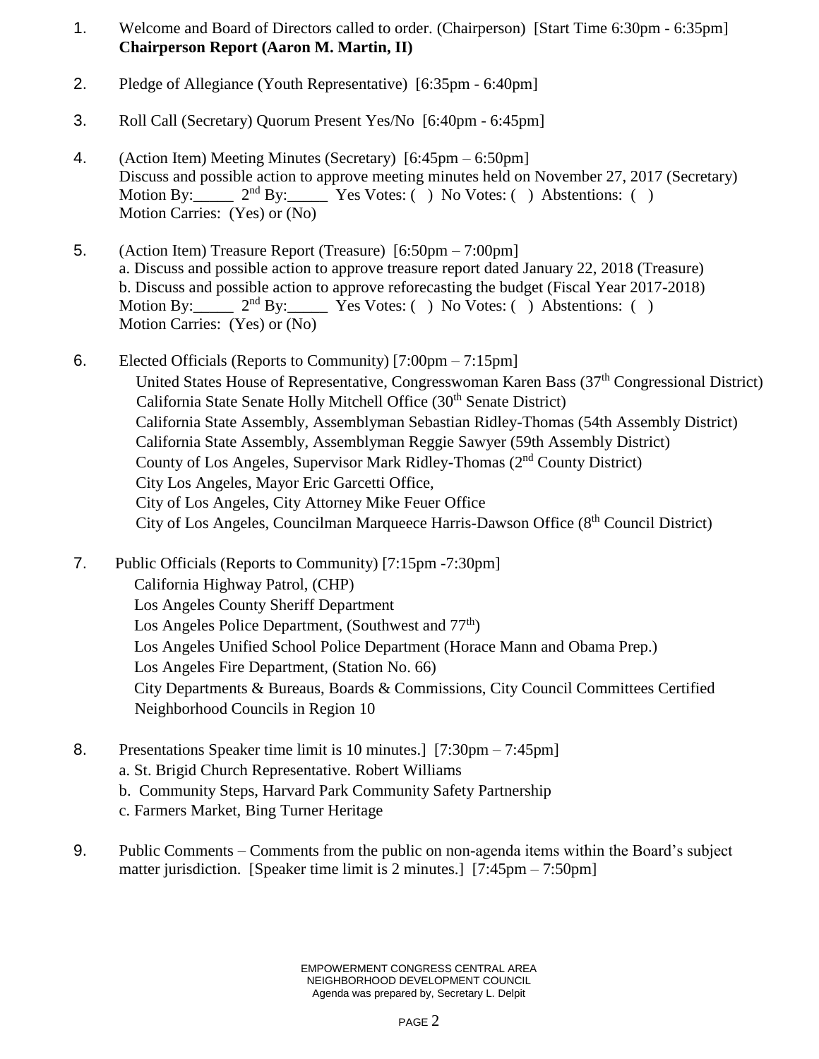- 1. Welcome and Board of Directors called to order. (Chairperson) [Start Time 6:30pm 6:35pm] **Chairperson Report (Aaron M. Martin, II)**
- 2. Pledge of Allegiance (Youth Representative) [6:35pm 6:40pm]
- 3. Roll Call (Secretary) Quorum Present Yes/No [6:40pm 6:45pm]
- 4. (Action Item) Meeting Minutes (Secretary) [6:45pm 6:50pm] Discuss and possible action to approve meeting minutes held on November 27, 2017 (Secretary) Motion By:  $2<sup>nd</sup> By: Yes Votes: () No Votes: () Abstentions: ()$ Motion Carries: (Yes) or (No)
- 5. (Action Item) Treasure Report (Treasure) [6:50pm 7:00pm] a. Discuss and possible action to approve treasure report dated January 22, 2018 (Treasure) b. Discuss and possible action to approve reforecasting the budget (Fiscal Year 2017-2018) Motion By:  $2<sup>nd</sup> By: Yes Votes: () No Votes: () Abstentions: ()$ Motion Carries: (Yes) or (No)
- 6. Elected Officials (Reports to Community) [7:00pm 7:15pm] United States House of Representative, Congresswoman Karen Bass (37<sup>th</sup> Congressional District) California State Senate Holly Mitchell Office (30<sup>th</sup> Senate District) California State Assembly, Assemblyman Sebastian Ridley-Thomas (54th Assembly District) California State Assembly, Assemblyman Reggie Sawyer (59th Assembly District) County of Los Angeles, Supervisor Mark Ridley-Thomas (2nd County District) City Los Angeles, Mayor Eric Garcetti Office, City of Los Angeles, City Attorney Mike Feuer Office City of Los Angeles, Councilman Marqueece Harris-Dawson Office (8th Council District)
- 7. Public Officials (Reports to Community) [7:15pm -7:30pm] California Highway Patrol, (CHP) Los Angeles County Sheriff Department Los Angeles Police Department, (Southwest and 77<sup>th</sup>) Los Angeles Unified School Police Department (Horace Mann and Obama Prep.) Los Angeles Fire Department, (Station No. 66) City Departments & Bureaus, Boards & Commissions, City Council Committees Certified Neighborhood Councils in Region 10
- 8. Presentations Speaker time limit is 10 minutes.] [7:30pm 7:45pm] a. St. Brigid Church Representative. Robert Williams b. Community Steps, Harvard Park Community Safety Partnership c. Farmers Market, Bing Turner Heritage
- 9. Public Comments Comments from the public on non-agenda items within the Board's subject matter jurisdiction. [Speaker time limit is 2 minutes.] [7:45pm – 7:50pm]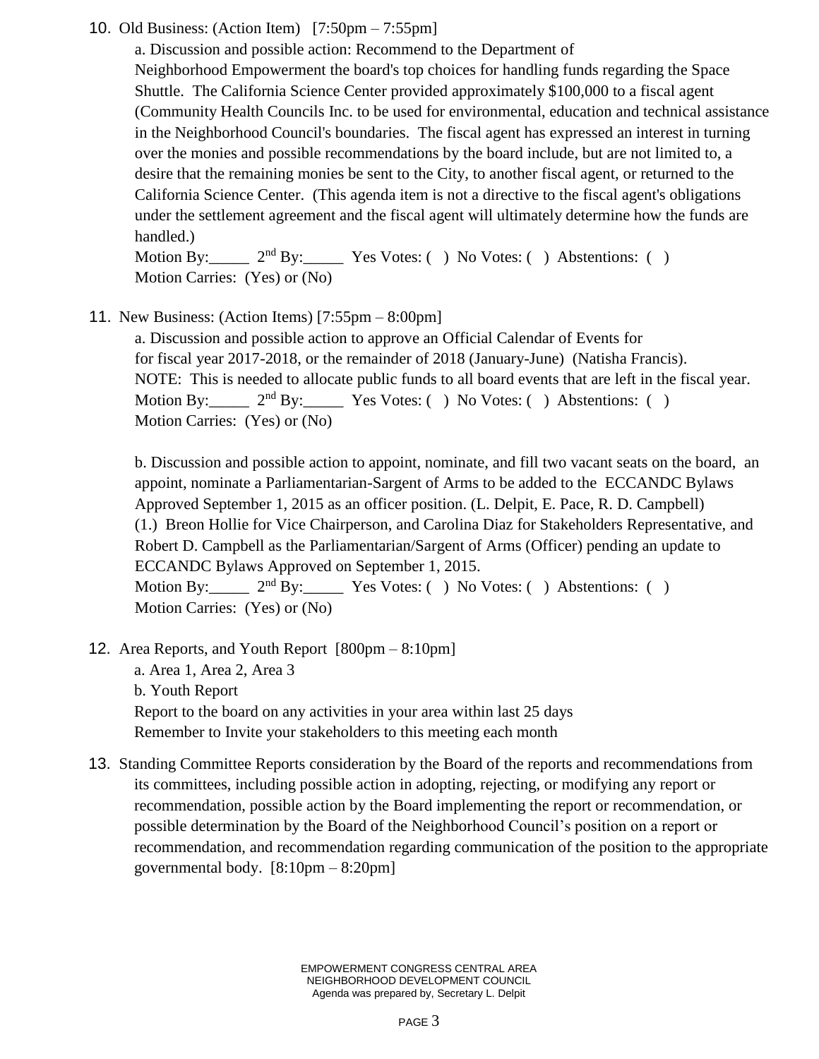## 10. Old Business: (Action Item) [7:50pm – 7:55pm]

a. Discussion and possible action: Recommend to the Department of Neighborhood Empowerment the board's top choices for handling funds regarding the Space Shuttle. The California Science Center provided approximately \$100,000 to a fiscal agent (Community Health Councils Inc. to be used for environmental, education and technical assistance in the Neighborhood Council's boundaries. The fiscal agent has expressed an interest in turning over the monies and possible recommendations by the board include, but are not limited to, a desire that the remaining monies be sent to the City, to another fiscal agent, or returned to the California Science Center. (This agenda item is not a directive to the fiscal agent's obligations under the settlement agreement and the fiscal agent will ultimately determine how the funds are handled.)

Motion By:  $2<sup>nd</sup>$  By: Yes Votes: ( ) No Votes: ( ) Abstentions: ( ) Motion Carries: (Yes) or (No)

11. New Business: (Action Items) [7:55pm – 8:00pm]

a. Discussion and possible action to approve an Official Calendar of Events for for fiscal year 2017-2018, or the remainder of 2018 (January-June) (Natisha Francis). NOTE: This is needed to allocate public funds to all board events that are left in the fiscal year. Motion By:  $2<sup>nd</sup> By: Yes Votes: ( ) No Votes: ( ) Abstentions: ( )$ Motion Carries: (Yes) or (No)

b. Discussion and possible action to appoint, nominate, and fill two vacant seats on the board, an appoint, nominate a Parliamentarian-Sargent of Arms to be added to the ECCANDC Bylaws Approved September 1, 2015 as an officer position. (L. Delpit, E. Pace, R. D. Campbell) (1.) Breon Hollie for Vice Chairperson, and Carolina Diaz for Stakeholders Representative, and Robert D. Campbell as the Parliamentarian/Sargent of Arms (Officer) pending an update to ECCANDC Bylaws Approved on September 1, 2015. Motion By:  $2<sup>nd</sup> By: Yes Votes: () No Votes: () Abstentions: ()$ Motion Carries: (Yes) or (No)

12. Area Reports, and Youth Report [800pm – 8:10pm]

a. Area 1, Area 2, Area 3 b. Youth Report Report to the board on any activities in your area within last 25 days Remember to Invite your stakeholders to this meeting each month

13. Standing Committee Reports consideration by the Board of the reports and recommendations from its committees, including possible action in adopting, rejecting, or modifying any report or recommendation, possible action by the Board implementing the report or recommendation, or possible determination by the Board of the Neighborhood Council's position on a report or recommendation, and recommendation regarding communication of the position to the appropriate governmental body. [8:10pm – 8:20pm]